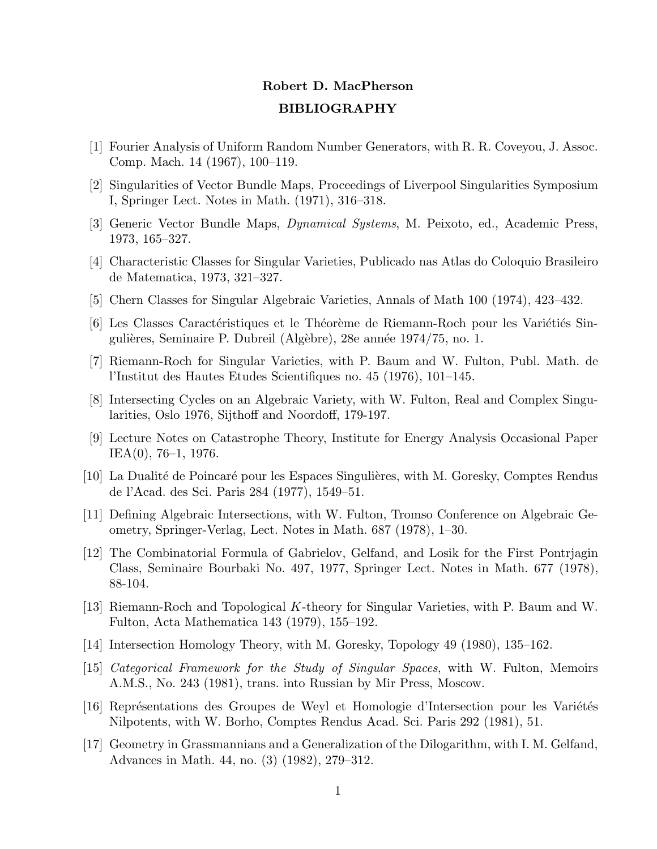## Robert D. MacPherson BIBLIOGRAPHY

- [1] Fourier Analysis of Uniform Random Number Generators, with R. R. Coveyou, J. Assoc. Comp. Mach. 14 (1967), 100–119.
- [2] Singularities of Vector Bundle Maps, Proceedings of Liverpool Singularities Symposium I, Springer Lect. Notes in Math. (1971), 316–318.
- [3] Generic Vector Bundle Maps, Dynamical Systems, M. Peixoto, ed., Academic Press, 1973, 165–327.
- [4] Characteristic Classes for Singular Varieties, Publicado nas Atlas do Coloquio Brasileiro de Matematica, 1973, 321–327.
- [5] Chern Classes for Singular Algebraic Varieties, Annals of Math 100 (1974), 423–432.
- [6] Les Classes Caractéristiques et le Théorème de Riemann-Roch pour les Variétiés Singulières, Seminaire P. Dubreil (Algèbre), 28e année 1974/75, no. 1.
- [7] Riemann-Roch for Singular Varieties, with P. Baum and W. Fulton, Publ. Math. de l'Institut des Hautes Etudes Scientifiques no. 45 (1976), 101–145.
- [8] Intersecting Cycles on an Algebraic Variety, with W. Fulton, Real and Complex Singularities, Oslo 1976, Sijthoff and Noordoff, 179-197.
- [9] Lecture Notes on Catastrophe Theory, Institute for Energy Analysis Occasional Paper IEA(0), 76–1, 1976.
- [10] La Dualité de Poincaré pour les Espaces Singulières, with M. Goresky, Comptes Rendus de l'Acad. des Sci. Paris 284 (1977), 1549–51.
- [11] Defining Algebraic Intersections, with W. Fulton, Tromso Conference on Algebraic Geometry, Springer-Verlag, Lect. Notes in Math. 687 (1978), 1–30.
- [12] The Combinatorial Formula of Gabrielov, Gelfand, and Losik for the First Pontrjagin Class, Seminaire Bourbaki No. 497, 1977, Springer Lect. Notes in Math. 677 (1978), 88-104.
- [13] Riemann-Roch and Topological K-theory for Singular Varieties, with P. Baum and W. Fulton, Acta Mathematica 143 (1979), 155–192.
- [14] Intersection Homology Theory, with M. Goresky, Topology 49 (1980), 135–162.
- [15] Categorical Framework for the Study of Singular Spaces, with W. Fulton, Memoirs A.M.S., No. 243 (1981), trans. into Russian by Mir Press, Moscow.
- [16] Représentations des Groupes de Weyl et Homologie d'Intersection pour les Variétés Nilpotents, with W. Borho, Comptes Rendus Acad. Sci. Paris 292 (1981), 51.
- [17] Geometry in Grassmannians and a Generalization of the Dilogarithm, with I. M. Gelfand, Advances in Math. 44, no. (3) (1982), 279–312.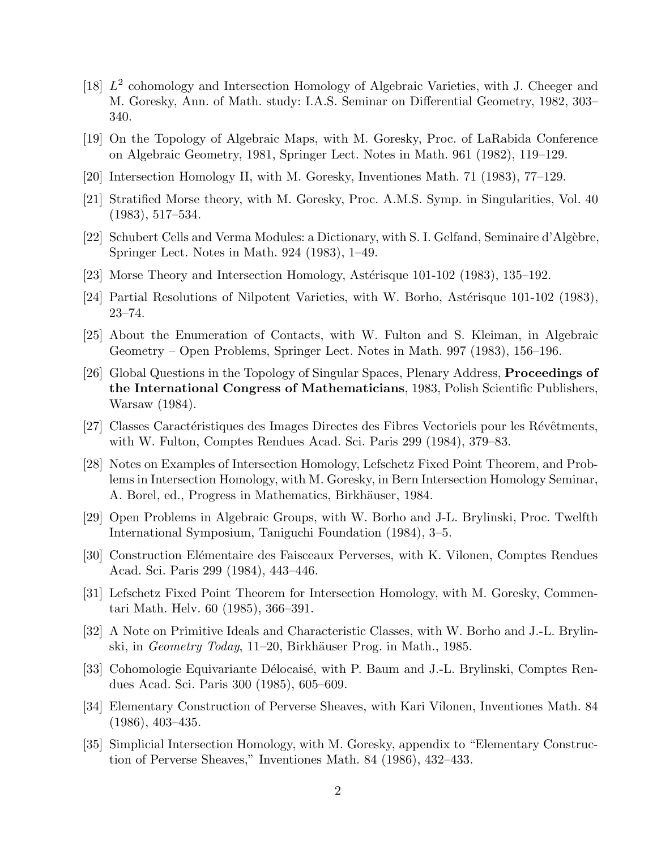- [18]  $L^2$  cohomology and Intersection Homology of Algebraic Varieties, with J. Cheeger and M. Goresky, Ann. of Math. study: I.A.S. Seminar on Differential Geometry, 1982, 303– 340.
- [19] On the Topology of Algebraic Maps, with M. Goresky, Proc. of LaRabida Conference on Algebraic Geometry, 1981, Springer Lect. Notes in Math. 961 (1982), 119–129.
- [20] Intersection Homology II, with M. Goresky, Inventiones Math. 71 (1983), 77–129.
- [21] Stratified Morse theory, with M. Goresky, Proc. A.M.S. Symp. in Singularities, Vol. 40 (1983), 517–534.
- [22] Schubert Cells and Verma Modules: a Dictionary, with S. I. Gelfand, Seminaire d'Alg`ebre, Springer Lect. Notes in Math. 924 (1983), 1–49.
- [23] Morse Theory and Intersection Homology, Astérisque  $101-102$  (1983), 135–192.
- [24] Partial Resolutions of Nilpotent Varieties, with W. Borho, Astérisque  $101-102$  (1983), 23–74.
- [25] About the Enumeration of Contacts, with W. Fulton and S. Kleiman, in Algebraic Geometry – Open Problems, Springer Lect. Notes in Math. 997 (1983), 156–196.
- [26] Global Questions in the Topology of Singular Spaces, Plenary Address, Proceedings of the International Congress of Mathematicians, 1983, Polish Scientific Publishers, Warsaw (1984).
- [27] Classes Caractéristiques des Images Directes des Fibres Vectoriels pour les Révêtments, with W. Fulton, Comptes Rendues Acad. Sci. Paris 299 (1984), 379–83.
- [28] Notes on Examples of Intersection Homology, Lefschetz Fixed Point Theorem, and Problems in Intersection Homology, with M. Goresky, in Bern Intersection Homology Seminar, A. Borel, ed., Progress in Mathematics, Birkhäuser, 1984.
- [29] Open Problems in Algebraic Groups, with W. Borho and J-L. Brylinski, Proc. Twelfth International Symposium, Taniguchi Foundation (1984), 3–5.
- [30] Construction Elémentaire des Faisceaux Perverses, with K. Vilonen, Comptes Rendues Acad. Sci. Paris 299 (1984), 443–446.
- [31] Lefschetz Fixed Point Theorem for Intersection Homology, with M. Goresky, Commentari Math. Helv. 60 (1985), 366–391.
- [32] A Note on Primitive Ideals and Characteristic Classes, with W. Borho and J.-L. Brylinski, in *Geometry Today*, 11–20, Birkhäuser Prog. in Math., 1985.
- [33] Cohomologie Equivariante Délocaisé, with P. Baum and J.-L. Brylinski, Comptes Rendues Acad. Sci. Paris 300 (1985), 605–609.
- [34] Elementary Construction of Perverse Sheaves, with Kari Vilonen, Inventiones Math. 84 (1986), 403–435.
- [35] Simplicial Intersection Homology, with M. Goresky, appendix to "Elementary Construction of Perverse Sheaves," Inventiones Math. 84 (1986), 432–433.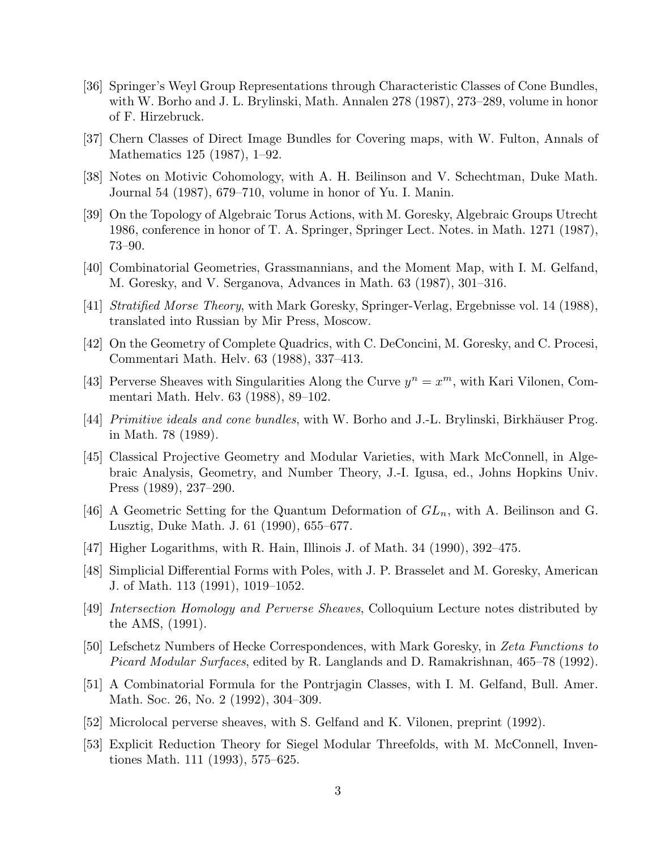- [36] Springer's Weyl Group Representations through Characteristic Classes of Cone Bundles, with W. Borho and J. L. Brylinski, Math. Annalen 278 (1987), 273–289, volume in honor of F. Hirzebruck.
- [37] Chern Classes of Direct Image Bundles for Covering maps, with W. Fulton, Annals of Mathematics 125 (1987), 1–92.
- [38] Notes on Motivic Cohomology, with A. H. Beilinson and V. Schechtman, Duke Math. Journal 54 (1987), 679–710, volume in honor of Yu. I. Manin.
- [39] On the Topology of Algebraic Torus Actions, with M. Goresky, Algebraic Groups Utrecht 1986, conference in honor of T. A. Springer, Springer Lect. Notes. in Math. 1271 (1987), 73–90.
- [40] Combinatorial Geometries, Grassmannians, and the Moment Map, with I. M. Gelfand, M. Goresky, and V. Serganova, Advances in Math. 63 (1987), 301–316.
- [41] Stratified Morse Theory, with Mark Goresky, Springer-Verlag, Ergebnisse vol. 14 (1988), translated into Russian by Mir Press, Moscow.
- [42] On the Geometry of Complete Quadrics, with C. DeConcini, M. Goresky, and C. Procesi, Commentari Math. Helv. 63 (1988), 337–413.
- [43] Perverse Sheaves with Singularities Along the Curve  $y^n = x^m$ , with Kari Vilonen, Commentari Math. Helv. 63 (1988), 89–102.
- [44] *Primitive ideals and cone bundles*, with W. Borho and J.-L. Brylinski, Birkhäuser Prog. in Math. 78 (1989).
- [45] Classical Projective Geometry and Modular Varieties, with Mark McConnell, in Algebraic Analysis, Geometry, and Number Theory, J.-I. Igusa, ed., Johns Hopkins Univ. Press (1989), 237–290.
- [46] A Geometric Setting for the Quantum Deformation of  $GL_n$ , with A. Beilinson and G. Lusztig, Duke Math. J. 61 (1990), 655–677.
- [47] Higher Logarithms, with R. Hain, Illinois J. of Math. 34 (1990), 392–475.
- [48] Simplicial Differential Forms with Poles, with J. P. Brasselet and M. Goresky, American J. of Math. 113 (1991), 1019–1052.
- [49] Intersection Homology and Perverse Sheaves, Colloquium Lecture notes distributed by the AMS, (1991).
- [50] Lefschetz Numbers of Hecke Correspondences, with Mark Goresky, in Zeta Functions to Picard Modular Surfaces, edited by R. Langlands and D. Ramakrishnan, 465–78 (1992).
- [51] A Combinatorial Formula for the Pontrjagin Classes, with I. M. Gelfand, Bull. Amer. Math. Soc. 26, No. 2 (1992), 304–309.
- [52] Microlocal perverse sheaves, with S. Gelfand and K. Vilonen, preprint (1992).
- [53] Explicit Reduction Theory for Siegel Modular Threefolds, with M. McConnell, Inventiones Math. 111 (1993), 575–625.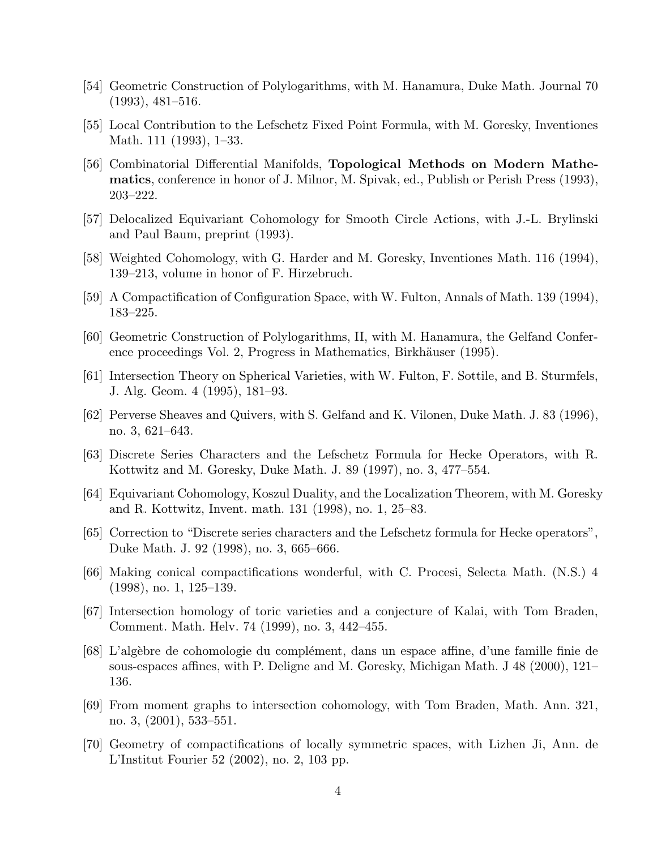- [54] Geometric Construction of Polylogarithms, with M. Hanamura, Duke Math. Journal 70 (1993), 481–516.
- [55] Local Contribution to the Lefschetz Fixed Point Formula, with M. Goresky, Inventiones Math. 111 (1993), 1–33.
- [56] Combinatorial Differential Manifolds, Topological Methods on Modern Mathematics, conference in honor of J. Milnor, M. Spivak, ed., Publish or Perish Press (1993), 203–222.
- [57] Delocalized Equivariant Cohomology for Smooth Circle Actions, with J.-L. Brylinski and Paul Baum, preprint (1993).
- [58] Weighted Cohomology, with G. Harder and M. Goresky, Inventiones Math. 116 (1994), 139–213, volume in honor of F. Hirzebruch.
- [59] A Compactification of Configuration Space, with W. Fulton, Annals of Math. 139 (1994), 183–225.
- [60] Geometric Construction of Polylogarithms, II, with M. Hanamura, the Gelfand Conference proceedings Vol. 2, Progress in Mathematics, Birkhäuser (1995).
- [61] Intersection Theory on Spherical Varieties, with W. Fulton, F. Sottile, and B. Sturmfels, J. Alg. Geom. 4 (1995), 181–93.
- [62] Perverse Sheaves and Quivers, with S. Gelfand and K. Vilonen, Duke Math. J. 83 (1996), no. 3, 621–643.
- [63] Discrete Series Characters and the Lefschetz Formula for Hecke Operators, with R. Kottwitz and M. Goresky, Duke Math. J. 89 (1997), no. 3, 477–554.
- [64] Equivariant Cohomology, Koszul Duality, and the Localization Theorem, with M. Goresky and R. Kottwitz, Invent. math. 131 (1998), no. 1, 25–83.
- [65] Correction to "Discrete series characters and the Lefschetz formula for Hecke operators", Duke Math. J. 92 (1998), no. 3, 665–666.
- [66] Making conical compactifications wonderful, with C. Procesi, Selecta Math. (N.S.) 4 (1998), no. 1, 125–139.
- [67] Intersection homology of toric varieties and a conjecture of Kalai, with Tom Braden, Comment. Math. Helv. 74 (1999), no. 3, 442–455.
- [68] L'alg`ebre de cohomologie du compl´ement, dans un espace affine, d'une famille finie de sous-espaces affines, with P. Deligne and M. Goresky, Michigan Math. J 48 (2000), 121– 136.
- [69] From moment graphs to intersection cohomology, with Tom Braden, Math. Ann. 321, no. 3, (2001), 533–551.
- [70] Geometry of compactifications of locally symmetric spaces, with Lizhen Ji, Ann. de L'Institut Fourier 52 (2002), no. 2, 103 pp.